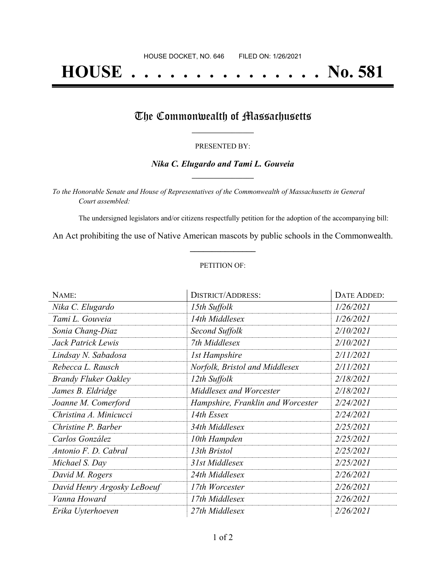# **HOUSE . . . . . . . . . . . . . . . No. 581**

## The Commonwealth of Massachusetts

#### PRESENTED BY:

#### *Nika C. Elugardo and Tami L. Gouveia* **\_\_\_\_\_\_\_\_\_\_\_\_\_\_\_\_\_**

*To the Honorable Senate and House of Representatives of the Commonwealth of Massachusetts in General Court assembled:*

The undersigned legislators and/or citizens respectfully petition for the adoption of the accompanying bill:

An Act prohibiting the use of Native American mascots by public schools in the Commonwealth. **\_\_\_\_\_\_\_\_\_\_\_\_\_\_\_**

#### PETITION OF:

| NAME:                       | <b>DISTRICT/ADDRESS:</b>          | DATE ADDED: |
|-----------------------------|-----------------------------------|-------------|
| Nika C. Elugardo            | 15th Suffolk                      | 1/26/2021   |
| Tami L. Gouveia             | 14th Middlesex                    | 1/26/2021   |
| Sonia Chang-Diaz            | Second Suffolk                    | 2/10/2021   |
| Jack Patrick Lewis          | 7th Middlesex                     | 2/10/2021   |
| Lindsay N. Sabadosa         | <b>1st Hampshire</b>              | 2/11/2021   |
| Rebecca L. Rausch           | Norfolk, Bristol and Middlesex    | 2/11/2021   |
| <b>Brandy Fluker Oakley</b> | 12th Suffolk                      | 2/18/2021   |
| James B. Eldridge           | Middlesex and Worcester           | 2/18/2021   |
| Joanne M. Comerford         | Hampshire, Franklin and Worcester | 2/24/2021   |
| Christina A. Minicucci      | 14th Essex                        | 2/24/2021   |
| Christine P. Barber         | 34th Middlesex                    | 2/25/2021   |
| Carlos González             | 10th Hampden                      | 2/25/2021   |
| Antonio F. D. Cabral        | 13th Bristol                      | 2/25/2021   |
| Michael S. Day              | 31st Middlesex                    | 2/25/2021   |
| David M. Rogers             | 24th Middlesex                    | 2/26/2021   |
| David Henry Argosky LeBoeuf | 17th Worcester                    | 2/26/2021   |
| Vanna Howard                | 17th Middlesex                    | 2/26/2021   |
| Erika Uyterhoeven           | 27th Middlesex                    | 2/26/2021   |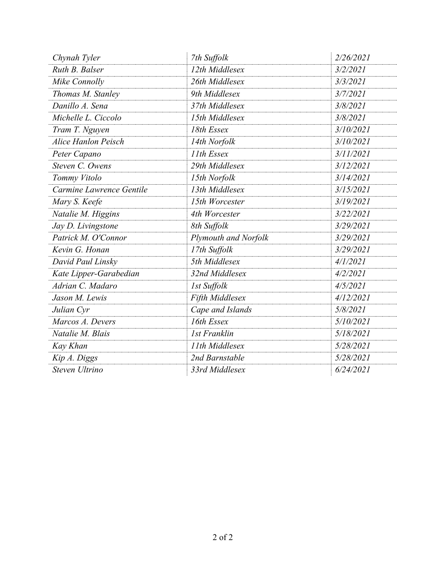| Chynah Tyler             | 7th Suffolk          | 2/26/2021 |
|--------------------------|----------------------|-----------|
| Ruth B. Balser           | 12th Middlesex       | 3/2/2021  |
| Mike Connolly            | 26th Middlesex       | 3/3/2021  |
| Thomas M. Stanley        | 9th Middlesex        | 3/7/2021  |
| Danillo A. Sena          | 37th Middlesex       | 3/8/2021  |
| Michelle L. Ciccolo      | 15th Middlesex       | 3/8/2021  |
| Tram T. Nguyen           | 18th Essex           | 3/10/2021 |
| Alice Hanlon Peisch      | 14th Norfolk         | 3/10/2021 |
| Peter Capano             | 11th Essex           | 3/11/2021 |
| Steven C. Owens          | 29th Middlesex       | 3/12/2021 |
| Tommy Vitolo             | 15th Norfolk         | 3/14/2021 |
| Carmine Lawrence Gentile | 13th Middlesex       | 3/15/2021 |
| Mary S. Keefe            | 15th Worcester       | 3/19/2021 |
| Natalie M. Higgins       | 4th Worcester        | 3/22/2021 |
| Jay D. Livingstone       | 8th Suffolk          | 3/29/2021 |
| Patrick M. O'Connor      | Plymouth and Norfolk | 3/29/2021 |
| Kevin G. Honan           | 17th Suffolk         | 3/29/2021 |
| David Paul Linsky        | 5th Middlesex        | 4/1/2021  |
| Kate Lipper-Garabedian   | 32nd Middlesex       | 4/2/2021  |
| Adrian C. Madaro         | 1st Suffolk          | 4/5/2021  |
| Jason M. Lewis           | Fifth Middlesex      | 4/12/2021 |
| Julian Cyr               | Cape and Islands     | 5/8/2021  |
| Marcos A. Devers         | 16th Essex           | 5/10/2021 |
| Natalie M. Blais         | <b>1st Franklin</b>  | 5/18/2021 |
| Kay Khan                 | 11th Middlesex       | 5/28/2021 |
| Kip A. Diggs             | 2nd Barnstable       | 5/28/2021 |
| Steven Ultrino           | 33rd Middlesex       | 6/24/2021 |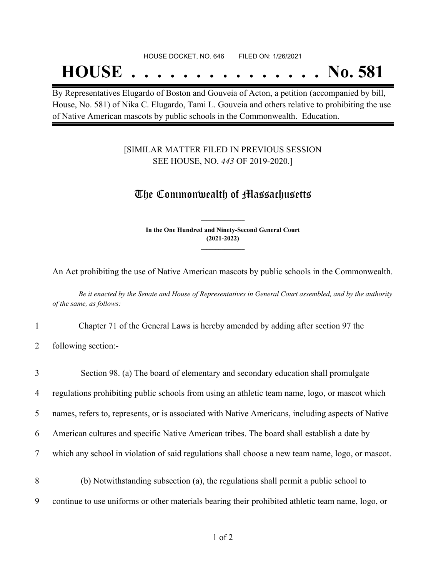#### HOUSE DOCKET, NO. 646 FILED ON: 1/26/2021

## **HOUSE . . . . . . . . . . . . . . . No. 581**

By Representatives Elugardo of Boston and Gouveia of Acton, a petition (accompanied by bill, House, No. 581) of Nika C. Elugardo, Tami L. Gouveia and others relative to prohibiting the use of Native American mascots by public schools in the Commonwealth. Education.

#### [SIMILAR MATTER FILED IN PREVIOUS SESSION SEE HOUSE, NO. *443* OF 2019-2020.]

### The Commonwealth of Massachusetts

**In the One Hundred and Ninety-Second General Court (2021-2022) \_\_\_\_\_\_\_\_\_\_\_\_\_\_\_**

**\_\_\_\_\_\_\_\_\_\_\_\_\_\_\_**

An Act prohibiting the use of Native American mascots by public schools in the Commonwealth.

Be it enacted by the Senate and House of Representatives in General Court assembled, and by the authority *of the same, as follows:*

1 Chapter 71 of the General Laws is hereby amended by adding after section 97 the

2 following section:-

| $\overline{3}$ | Section 98. (a) The board of elementary and secondary education shall promulgate                    |
|----------------|-----------------------------------------------------------------------------------------------------|
| $\overline{4}$ | regulations prohibiting public schools from using an athletic team name, logo, or mascot which      |
| 5 <sup>5</sup> | names, refers to, represents, or is associated with Native Americans, including aspects of Native   |
| 6              | American cultures and specific Native American tribes. The board shall establish a date by          |
| 7              | which any school in violation of said regulations shall choose a new team name, logo, or mascot.    |
| 8              | (b) Notwithstanding subsection (a), the regulations shall permit a public school to                 |
| 9              | continue to use uniforms or other materials bearing their prohibited at heletic team name, logo, or |